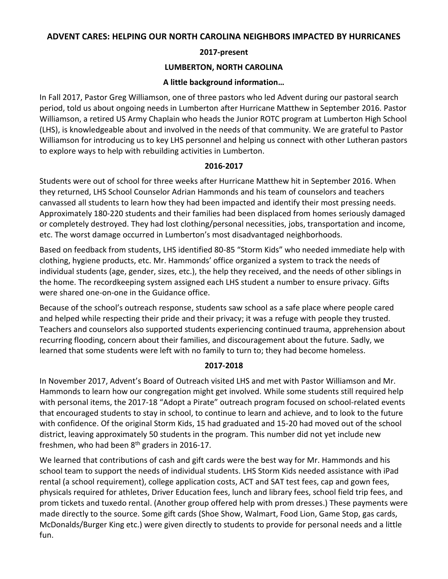#### **ADVENT CARES: HELPING OUR NORTH CAROLINA NEIGHBORS IMPACTED BY HURRICANES**

## **2017-present**

#### **LUMBERTON, NORTH CAROLINA**

### **A little background information…**

In Fall 2017, Pastor Greg Williamson, one of three pastors who led Advent during our pastoral search period, told us about ongoing needs in Lumberton after Hurricane Matthew in September 2016. Pastor Williamson, a retired US Army Chaplain who heads the Junior ROTC program at Lumberton High School (LHS), is knowledgeable about and involved in the needs of that community. We are grateful to Pastor Williamson for introducing us to key LHS personnel and helping us connect with other Lutheran pastors to explore ways to help with rebuilding activities in Lumberton.

#### **2016-2017**

Students were out of school for three weeks after Hurricane Matthew hit in September 2016. When they returned, LHS School Counselor Adrian Hammonds and his team of counselors and teachers canvassed all students to learn how they had been impacted and identify their most pressing needs. Approximately 180-220 students and their families had been displaced from homes seriously damaged or completely destroyed. They had lost clothing/personal necessities, jobs, transportation and income, etc. The worst damage occurred in Lumberton's most disadvantaged neighborhoods.

Based on feedback from students, LHS identified 80-85 "Storm Kids" who needed immediate help with clothing, hygiene products, etc. Mr. Hammonds' office organized a system to track the needs of individual students (age, gender, sizes, etc.), the help they received, and the needs of other siblings in the home. The recordkeeping system assigned each LHS student a number to ensure privacy. Gifts were shared one-on-one in the Guidance office.

Because of the school's outreach response, students saw school as a safe place where people cared and helped while respecting their pride and their privacy; it was a refuge with people they trusted. Teachers and counselors also supported students experiencing continued trauma, apprehension about recurring flooding, concern about their families, and discouragement about the future. Sadly, we learned that some students were left with no family to turn to; they had become homeless.

# **2017-2018**

In November 2017, Advent's Board of Outreach visited LHS and met with Pastor Williamson and Mr. Hammonds to learn how our congregation might get involved. While some students still required help with personal items, the 2017-18 "Adopt a Pirate" outreach program focused on school-related events that encouraged students to stay in school, to continue to learn and achieve, and to look to the future with confidence. Of the original Storm Kids, 15 had graduated and 15-20 had moved out of the school district, leaving approximately 50 students in the program. This number did not yet include new freshmen, who had been  $8<sup>th</sup>$  graders in 2016-17.

We learned that contributions of cash and gift cards were the best way for Mr. Hammonds and his school team to support the needs of individual students. LHS Storm Kids needed assistance with iPad rental (a school requirement), college application costs, ACT and SAT test fees, cap and gown fees, physicals required for athletes, Driver Education fees, lunch and library fees, school field trip fees, and prom tickets and tuxedo rental. (Another group offered help with prom dresses.) These payments were made directly to the source. Some gift cards (Shoe Show, Walmart, Food Lion, Game Stop, gas cards, McDonalds/Burger King etc.) were given directly to students to provide for personal needs and a little fun.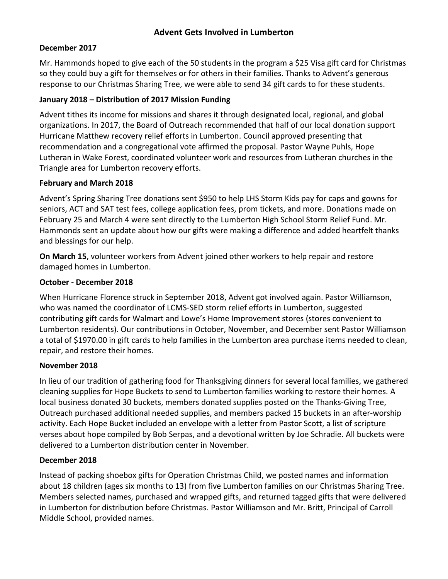# **Advent Gets Involved in Lumberton**

## **December 2017**

Mr. Hammonds hoped to give each of the 50 students in the program a \$25 Visa gift card for Christmas so they could buy a gift for themselves or for others in their families. Thanks to Advent's generous response to our Christmas Sharing Tree, we were able to send 34 gift cards to for these students.

## **January 2018 – Distribution of 2017 Mission Funding**

Advent tithes its income for missions and shares it through designated local, regional, and global organizations. In 2017, the Board of Outreach recommended that half of our local donation support Hurricane Matthew recovery relief efforts in Lumberton. Council approved presenting that recommendation and a congregational vote affirmed the proposal. Pastor Wayne Puhls, Hope Lutheran in Wake Forest, coordinated volunteer work and resources from Lutheran churches in the Triangle area for Lumberton recovery efforts.

#### **February and March 2018**

Advent's Spring Sharing Tree donations sent \$950 to help LHS Storm Kids pay for caps and gowns for seniors, ACT and SAT test fees, college application fees, prom tickets, and more. Donations made on February 25 and March 4 were sent directly to the Lumberton High School Storm Relief Fund. Mr. Hammonds sent an update about how our gifts were making a difference and added heartfelt thanks and blessings for our help.

**On March 15**, volunteer workers from Advent joined other workers to help repair and restore damaged homes in Lumberton.

#### **October - December 2018**

When Hurricane Florence struck in September 2018, Advent got involved again. Pastor Williamson, who was named the coordinator of LCMS-SED storm relief efforts in Lumberton, suggested contributing gift cards for Walmart and Lowe's Home Improvement stores (stores convenient to Lumberton residents). Our contributions in October, November, and December sent Pastor Williamson a total of \$1970.00 in gift cards to help families in the Lumberton area purchase items needed to clean, repair, and restore their homes.

#### **November 2018**

In lieu of our tradition of gathering food for Thanksgiving dinners for several local families, we gathered cleaning supplies for Hope Buckets to send to Lumberton families working to restore their homes. A local business donated 30 buckets, members donated supplies posted on the Thanks-Giving Tree, Outreach purchased additional needed supplies, and members packed 15 buckets in an after-worship activity. Each Hope Bucket included an envelope with a letter from Pastor Scott, a list of scripture verses about hope compiled by Bob Serpas, and a devotional written by Joe Schradie. All buckets were delivered to a Lumberton distribution center in November.

# **December 2018**

Instead of packing shoebox gifts for Operation Christmas Child, we posted names and information about 18 children (ages six months to 13) from five Lumberton families on our Christmas Sharing Tree. Members selected names, purchased and wrapped gifts, and returned tagged gifts that were delivered in Lumberton for distribution before Christmas. Pastor Williamson and Mr. Britt, Principal of Carroll Middle School, provided names.